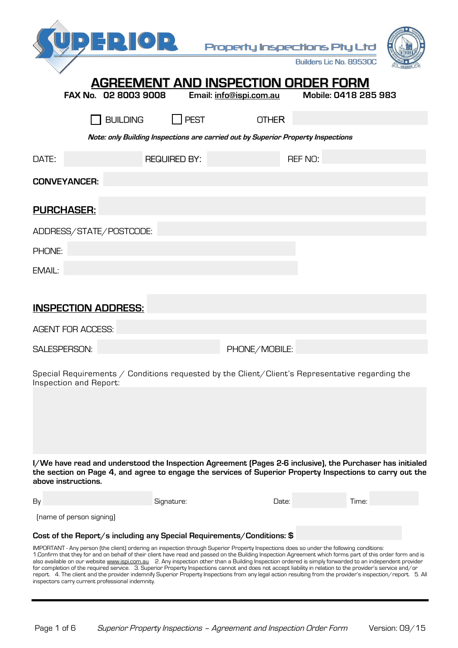|                                                                                                                                  | $\mathbf{D}$ = $\mathbf{D}$ $\mathbf{O}$ $\mathbf{D}$                                                                                                                                                                                                                                                                                                                                                                                                                                                                                                                                                                                                                                                                                                                                                                                               |                     | Property Inspections Pty Ltd<br><b>AGREEMENT AND INSPECTION ORDER FORM</b>       | <b>Builders Lic No. 89530C</b> |  |
|----------------------------------------------------------------------------------------------------------------------------------|-----------------------------------------------------------------------------------------------------------------------------------------------------------------------------------------------------------------------------------------------------------------------------------------------------------------------------------------------------------------------------------------------------------------------------------------------------------------------------------------------------------------------------------------------------------------------------------------------------------------------------------------------------------------------------------------------------------------------------------------------------------------------------------------------------------------------------------------------------|---------------------|----------------------------------------------------------------------------------|--------------------------------|--|
|                                                                                                                                  | FAX No. 02 8003 9008                                                                                                                                                                                                                                                                                                                                                                                                                                                                                                                                                                                                                                                                                                                                                                                                                                |                     | Email: info@ispi.com.au                                                          | Mobile: 0418 285 983           |  |
|                                                                                                                                  | <b>BUILDING</b>                                                                                                                                                                                                                                                                                                                                                                                                                                                                                                                                                                                                                                                                                                                                                                                                                                     | <b>PEST</b>         | <b>OTHER</b>                                                                     |                                |  |
|                                                                                                                                  |                                                                                                                                                                                                                                                                                                                                                                                                                                                                                                                                                                                                                                                                                                                                                                                                                                                     |                     | Note: only Building Inspections are carried out by Superior Property Inspections |                                |  |
| DATE:                                                                                                                            |                                                                                                                                                                                                                                                                                                                                                                                                                                                                                                                                                                                                                                                                                                                                                                                                                                                     | <b>REQUIRED BY:</b> |                                                                                  | <b>REF NO:</b>                 |  |
|                                                                                                                                  | <b>CONVEYANCER:</b>                                                                                                                                                                                                                                                                                                                                                                                                                                                                                                                                                                                                                                                                                                                                                                                                                                 |                     |                                                                                  |                                |  |
|                                                                                                                                  |                                                                                                                                                                                                                                                                                                                                                                                                                                                                                                                                                                                                                                                                                                                                                                                                                                                     |                     |                                                                                  |                                |  |
|                                                                                                                                  | <b>PURCHASER:</b>                                                                                                                                                                                                                                                                                                                                                                                                                                                                                                                                                                                                                                                                                                                                                                                                                                   |                     |                                                                                  |                                |  |
|                                                                                                                                  | ADDRESS/STATE/POSTCODE:                                                                                                                                                                                                                                                                                                                                                                                                                                                                                                                                                                                                                                                                                                                                                                                                                             |                     |                                                                                  |                                |  |
| <b>PHONE:</b>                                                                                                                    |                                                                                                                                                                                                                                                                                                                                                                                                                                                                                                                                                                                                                                                                                                                                                                                                                                                     |                     |                                                                                  |                                |  |
| EMAIL:                                                                                                                           |                                                                                                                                                                                                                                                                                                                                                                                                                                                                                                                                                                                                                                                                                                                                                                                                                                                     |                     |                                                                                  |                                |  |
|                                                                                                                                  |                                                                                                                                                                                                                                                                                                                                                                                                                                                                                                                                                                                                                                                                                                                                                                                                                                                     |                     |                                                                                  |                                |  |
| <b>INSPECTION ADDRESS:</b>                                                                                                       |                                                                                                                                                                                                                                                                                                                                                                                                                                                                                                                                                                                                                                                                                                                                                                                                                                                     |                     |                                                                                  |                                |  |
|                                                                                                                                  | <b>AGENT FOR ACCESS:</b>                                                                                                                                                                                                                                                                                                                                                                                                                                                                                                                                                                                                                                                                                                                                                                                                                            |                     |                                                                                  |                                |  |
|                                                                                                                                  | <b>SALESPERSON:</b>                                                                                                                                                                                                                                                                                                                                                                                                                                                                                                                                                                                                                                                                                                                                                                                                                                 |                     | PHONE/MOBILE:                                                                    |                                |  |
|                                                                                                                                  |                                                                                                                                                                                                                                                                                                                                                                                                                                                                                                                                                                                                                                                                                                                                                                                                                                                     |                     |                                                                                  |                                |  |
| Special Requirements $\angle$ Conditions requested by the Client/Client's Representative regarding the<br>Inspection and Report: |                                                                                                                                                                                                                                                                                                                                                                                                                                                                                                                                                                                                                                                                                                                                                                                                                                                     |                     |                                                                                  |                                |  |
|                                                                                                                                  |                                                                                                                                                                                                                                                                                                                                                                                                                                                                                                                                                                                                                                                                                                                                                                                                                                                     |                     |                                                                                  |                                |  |
|                                                                                                                                  | I/We have read and understood the Inspection Agreement (Pages 2-6 inclusive), the Purchaser has initialed<br>the section on Page 4, and agree to engage the services of Superior Property Inspections to carry out the<br>above instructions.                                                                                                                                                                                                                                                                                                                                                                                                                                                                                                                                                                                                       |                     |                                                                                  |                                |  |
| By                                                                                                                               |                                                                                                                                                                                                                                                                                                                                                                                                                                                                                                                                                                                                                                                                                                                                                                                                                                                     | Signature:          | Date:                                                                            | Time:                          |  |
|                                                                                                                                  | (name of person signing)                                                                                                                                                                                                                                                                                                                                                                                                                                                                                                                                                                                                                                                                                                                                                                                                                            |                     |                                                                                  |                                |  |
|                                                                                                                                  | Cost of the Report/s including any Special Requirements/Conditions: \$                                                                                                                                                                                                                                                                                                                                                                                                                                                                                                                                                                                                                                                                                                                                                                              |                     |                                                                                  |                                |  |
|                                                                                                                                  | IMPORTANT - Any person (the client) ordering an inspection through Superior Property Inspections does so under the following conditions:<br>1.Confirm that they for and on behalf of their client have read and passed on the Building Inspection Agreement which forms part of this order form and is<br>also available on our website www.ispi.com.au 2. Any inspection other than a Building Inspection ordered is simply forwarded to an independent provider<br>for completion of the required service. 3. Superior Property Inspections cannot and does not accept liability in relation to the provider's service and/or<br>report. 4. The client and the provider indemnify Superior Property Inspections from any legal action resulting from the provider's inspection/report. 5. All<br>inspectors carry current professional indemnity. |                     |                                                                                  |                                |  |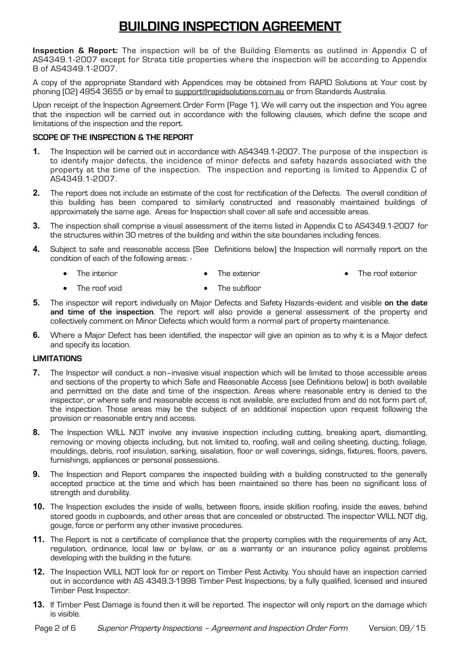# **BUILDING INSPECTION AGREEMENT**

**Inspection & Report:** The inspection will be of the Building Elements as outlined in Appendix C of AS4349.1-2007 except for Strata title properties where the inspection will be according to Appendix B of AS4349.1-2007.

A copy of the appropriate Standard with Appendices may be obtained from RAPID Solutions at Your cost by phoning (02) 4954 3655 or by email to [support@rapidsolutions.com.au](mailto:support@rapidsolutions.com.au) or from Standards Australia.

Upon receipt of the Inspection Agreement Order Form (Page 1), We will carry out the inspection and You agree that the inspection will be carried out in accordance with the following clauses, which define the scope and limitations of the inspection and the report.

# **SCOPE OF THE INSPECTION & THE REPORT**

- **1.** The Inspection will be carried out in accordance with AS4349.1-2007. The purpose of the inspection is to identify major defects, the incidence of minor defects and safety hazards associated with the property at the time of the inspection. The inspection and reporting is limited to Appendix C of AS4349.1-2007.
- **2.** The report does not include an estimate of the cost for rectification of the Defects. The overall condition of this building has been compared to similarly constructed and reasonably maintained buildings of approximately the same age. Areas for Inspection shall cover all safe and accessible areas.
- **3.** The inspection shall comprise a visual assessment of the items listed in Appendix C to AS4349.1-2007 for the structures within 30 metres of the building and within the site boundaries including fences.
- **4.** Subject to safe and reasonable access (See Definitions below) the Inspection will normally report on the condition of each of the following areas: -
	- The interior The exterior • The roof exterior
	- The roof void The subfloor
- **5.** The inspector will report individually on Major Defects and Safety Hazards-evident and visible on the date **and time of the inspection**. The report will also provide a general assessment of the property and collectively comment on Minor Defects which would form a normal part of property maintenance.
- **6.** Where a Major Defect has been identified, the inspector will give an opinion as to why it is a Major defect and specify its location.

# **LIMITATIONS**

- **7.** The Inspector will conduct a non–invasive visual inspection which will be limited to those accessible areas and sections of the property to which Safe and Reasonable Access (see Definitions below) is both available and permitted on the date and time of the inspection. Areas where reasonable entry is denied to the inspector, or where safe and reasonable access is not available, are excluded from and do not form part of, the inspection. Those areas may be the subject of an additional inspection upon request following the provision or reasonable entry and access.
- **8.** The Inspection WILL NOT involve any invasive inspection including cutting, breaking apart, dismantling, removing or moving objects including, but not limited to, roofing, wall and ceiling sheeting, ducting, foliage, mouldings, debris, roof insulation, sarking, sisalation, floor or wall coverings, sidings, fixtures, floors, pavers, furnishings, appliances or personal possessions.
- **9.** The Inspection and Report compares the inspected building with a building constructed to the generally accepted practice at the time and which has been maintained so there has been no significant loss of strength and durability.
- **10.** The Inspection excludes the inside of walls, between floors, inside skillion roofing, inside the eaves, behind stored goods in cupboards, and other areas that are concealed or obstructed. The inspector WILL NOT dig, gouge, force or perform any other invasive procedures.
- **11.** The Report is not a certificate of compliance that the property complies with the requirements of any Act, regulation, ordinance, local law or by-law, or as a warranty or an insurance policy against problems developing with the building in the future.
- **12.** The Inspection WILL NOT look for or report on Timber Pest Activity. You should have an inspection carried out in accordance with AS 4349.3-1998 Timber Pest Inspections, by a fully qualified, licensed and insured Timber Pest Inspector.
- **13.** If Timber Pest Damage is found then it will be reported. The inspector will only report on the damage which is visible.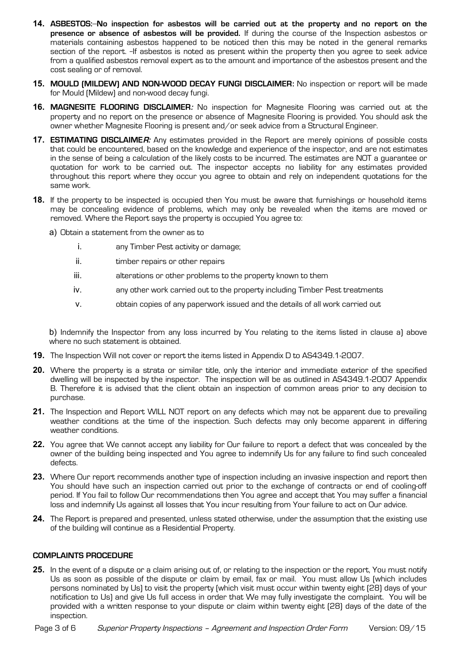- **14. ASBESTOS: No inspection for asbestos will be carried out at the property and no report on the presence or absence of asbestos will be provided.** If during the course of the Inspection asbestos or materials containing asbestos happened to be noticed then this may be noted in the general remarks section of the report. If asbestos is noted as present within the property then you agree to seek advice from a qualified asbestos removal expert as to the amount and importance of the asbestos present and the cost sealing or of removal.
- **15. MOULD (MILDEW) AND NON-WOOD DECAY FUNGI DISCLAIMER:** No inspection or report will be made for Mould (Mildew) and non-wood decay fungi.
- **16. MAGNESITE FLOORING DISCLAIMER:** No inspection for Magnesite Flooring was carried out at the property and no report on the presence or absence of Magnesite Flooring is provided. You should ask the owner whether Magnesite Flooring is present and/or seek advice from a Structural Engineer.
- **17. ESTIMATING DISCLAIMER:** Any estimates provided in the Report are merely opinions of possible costs that could be encountered, based on the knowledge and experience of the inspector, and are not estimates in the sense of being a calculation of the likely costs to be incurred. The estimates are NOT a guarantee or quotation for work to be carried out. The inspector accepts no liability for any estimates provided throughout this report where they occur you agree to obtain and rely on independent quotations for the same work.
- **18.** If the property to be inspected is occupied then You must be aware that furnishings or household items may be concealing evidence of problems, which may only be revealed when the items are moved or removed. Where the Report says the property is occupied You agree to:
	- a) Obtain a statement from the owner as to
		- i. any Timber Pest activity or damage;
		- ii. **timber repairs or other repairs**
		- iii. alterations or other problems to the property known to them
		- iv. any other work carried out to the property including Timber Pest treatments
		- v. obtain copies of any paperwork issued and the details of all work carried out

b) Indemnify the Inspector from any loss incurred by You relating to the items listed in clause a) above where no such statement is obtained.

- **19.** The Inspection Will not cover or report the items listed in Appendix D to AS4349.1-2007.
- **20.** Where the property is a strata or similar title, only the interior and immediate exterior of the specified dwelling will be inspected by the inspector. The inspection will be as outlined in AS4349.1-2007 Appendix B. Therefore it is advised that the client obtain an inspection of common areas prior to any decision to purchase.
- **21.** The Inspection and Report WILL NOT report on any defects which may not be apparent due to prevailing weather conditions at the time of the inspection. Such defects may only become apparent in differing weather conditions.
- **22.** You agree that We cannot accept any liability for Our failure to report a defect that was concealed by the owner of the building being inspected and You agree to indemnify Us for any failure to find such concealed defects.
- **23.** Where Our report recommends another type of inspection including an invasive inspection and report then You should have such an inspection carried out prior to the exchange of contracts or end of cooling-off period. If You fail to follow Our recommendations then You agree and accept that You may suffer a financial loss and indemnify Us against all losses that You incur resulting from Your failure to act on Our advice.
- **24.** The Report is prepared and presented, unless stated otherwise, under the assumption that the existing use of the building will continue as a Residential Property.

# **COMPLAINTS PROCEDURE**

**25.** In the event of a dispute or a claim arising out of, or relating to the inspection or the report, You must notify Us as soon as possible of the dispute or claim by email, fax or mail. You must allow Us (which includes persons nominated by Us) to visit the property (which visit must occur within twenty eight (28) days of your notification to Us) and give Us full access in order that We may fully investigate the complaint. You will be provided with a written response to your dispute or claim within twenty eight (28) days of the date of the inspection.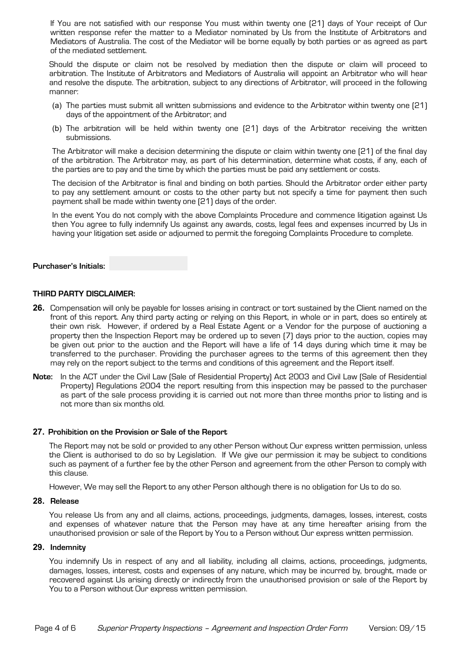If You are not satisfied with our response You must within twenty one (21) days of Your receipt of Our written response refer the matter to a Mediator nominated by Us from the Institute of Arbitrators and Mediators of Australia. The cost of the Mediator will be borne equally by both parties or as agreed as part of the mediated settlement.

Should the dispute or claim not be resolved by mediation then the dispute or claim will proceed to arbitration. The Institute of Arbitrators and Mediators of Australia will appoint an Arbitrator who will hear and resolve the dispute. The arbitration, subject to any directions of Arbitrator, will proceed in the following manner:

- (a) The parties must submit all written submissions and evidence to the Arbitrator within twenty one (21) days of the appointment of the Arbitrator; and
- (b) The arbitration will be held within twenty one (21) days of the Arbitrator receiving the written submissions.

The Arbitrator will make a decision determining the dispute or claim within twenty one (21) of the final day of the arbitration. The Arbitrator may, as part of his determination, determine what costs, if any, each of the parties are to pay and the time by which the parties must be paid any settlement or costs.

The decision of the Arbitrator is final and binding on both parties. Should the Arbitrator order either party to pay any settlement amount or costs to the other party but not specify a time for payment then such payment shall be made within twenty one (21) days of the order.

In the event You do not comply with the above Complaints Procedure and commence litigation against Us then You agree to fully indemnify Us against any awards, costs, legal fees and expenses incurred by Us in having your litigation set aside or adjourned to permit the foregoing Complaints Procedure to complete.

# **Purchaser's Initials:**

# **THIRD PARTY DISCLAIMER:**

- **26.** Compensation will only be payable for losses arising in contract or tort sustained by the Client named on the front of this report. Any third party acting or relying on this Report, in whole or in part, does so entirely at their own risk. However, if ordered by a Real Estate Agent or a Vendor for the purpose of auctioning a property then the Inspection Report may be ordered up to seven (7) days prior to the auction, copies may be given out prior to the auction and the Report will have a life of 14 days during which time it may be transferred to the purchaser. Providing the purchaser agrees to the terms of this agreement then they may rely on the report subject to the terms and conditions of this agreement and the Report itself.
- **Note:** In the ACT under the Civil Law (Sale of Residential Property) Act 2003 and Civil Law (Sale of Residential Property) Regulations 2004 the report resulting from this inspection may be passed to the purchaser as part of the sale process providing it is carried out not more than three months prior to listing and is not more than six months old.

#### **27. Prohibition on the Provision or Sale of the Report**

The Report may not be sold or provided to any other Person without Our express written permission, unless the Client is authorised to do so by Legislation. If We give our permission it may be subject to conditions such as payment of a further fee by the other Person and agreement from the other Person to comply with this clause.

However, We may sell the Report to any other Person although there is no obligation for Us to do so.

#### **28. Release**

You release Us from any and all claims, actions, proceedings, judgments, damages, losses, interest, costs and expenses of whatever nature that the Person may have at any time hereafter arising from the unauthorised provision or sale of the Report by You to a Person without Our express written permission.

#### **29. Indemnity**

You indemnify Us in respect of any and all liability, including all claims, actions, proceedings, judgments, damages, losses, interest, costs and expenses of any nature, which may be incurred by, brought, made or recovered against Us arising directly or indirectly from the unauthorised provision or sale of the Report by You to a Person without Our express written permission.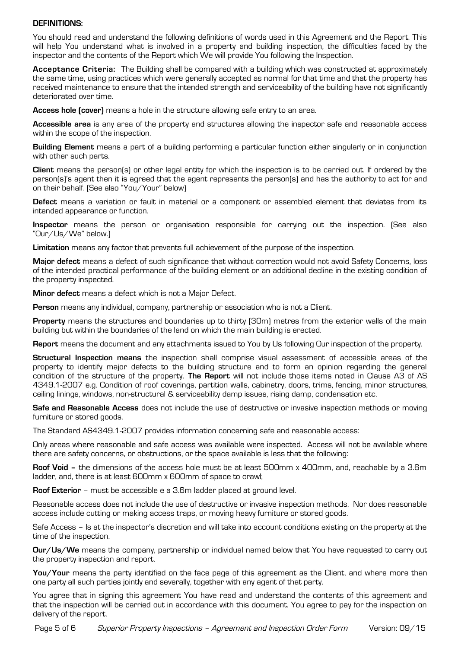## **DEFINITIONS:**

You should read and understand the following definitions of words used in this Agreement and the Report. This will help You understand what is involved in a property and building inspection, the difficulties faced by the inspector and the contents of the Report which We will provide You following the Inspection.

**Acceptance Criteria:** The Building shall be compared with a building which was constructed at approximately the same time, using practices which were generally accepted as normal for that time and that the property has received maintenance to ensure that the intended strength and serviceability of the building have not significantly deteriorated over time.

**Access hole (cover)** means a hole in the structure allowing safe entry to an area.

**Accessible area** is any area of the property and structures allowing the inspector safe and reasonable access within the scope of the inspection.

**Building Element** means a part of a building performing a particular function either singularly or in conjunction with other such parts.

**Client** means the person(s) or other legal entity for which the inspection is to be carried out. If ordered by the person(s)'s agent then it is agreed that the agent represents the person(s) and has the authority to act for and on their behalf. (See also "You/Your" below)

**Defect** means a variation or fault in material or a component or assembled element that deviates from its intended appearance or function.

**Inspector** means the person or organisation responsible for carrying out the inspection. (See also "Our/Us/We" below.)

**Limitation** means any factor that prevents full achievement of the purpose of the inspection.

**Major defect** means a defect of such significance that without correction would not avoid Safety Concerns, loss of the intended practical performance of the building element or an additional decline in the existing condition of the property inspected.

**Minor defect** means a defect which is not a Major Defect.

**Person** means any individual, company, partnership or association who is not a Client.

**Property** means the structures and boundaries up to thirty (30m) metres from the exterior walls of the main building but within the boundaries of the land on which the main building is erected.

**Report** means the document and any attachments issued to You by Us following Our inspection of the property.

**Structural Inspection means** the inspection shall comprise visual assessment of accessible areas of the property to identify major defects to the building structure and to form an opinion regarding the general condition of the structure of the property. **The Report** will not include those items noted in Clause A3 of AS 4349.1-2007 e.g. Condition of roof coverings, partition walls, cabinetry, doors, trims, fencing, minor structures, ceiling linings, windows, non-structural & serviceability damp issues, rising damp, condensation etc.

**Safe and Reasonable Access** does not include the use of destructive or invasive inspection methods or moving furniture or stored goods.

The Standard AS4349.1-2007 provides information concerning safe and reasonable access:

Only areas where reasonable and safe access was available were inspected. Access will not be available where there are safety concerns, or obstructions, or the space available is less that the following:

**Roof Void –** the dimensions of the access hole must be at least 500mm x 400mm, and, reachable by a 3.6m ladder, and, there is at least 600mm x 600mm of space to crawl;

**Roof Exterior** – must be accessible e a 3.6m ladder placed at ground level.

Reasonable access does not include the use of destructive or invasive inspection methods. Nor does reasonable access include cutting or making access traps, or moving heavy furniture or stored goods.

Safe Access – Is at the inspector's discretion and will take into account conditions existing on the property at the time of the inspection.

**Our/Us/We** means the company, partnership or individual named below that You have requested to carry out the property inspection and report.

You/Your means the party identified on the face page of this agreement as the Client, and where more than one party all such parties jointly and severally, together with any agent of that party.

You agree that in signing this agreement You have read and understand the contents of this agreement and that the inspection will be carried out in accordance with this document. You agree to pay for the inspection on delivery of the report.